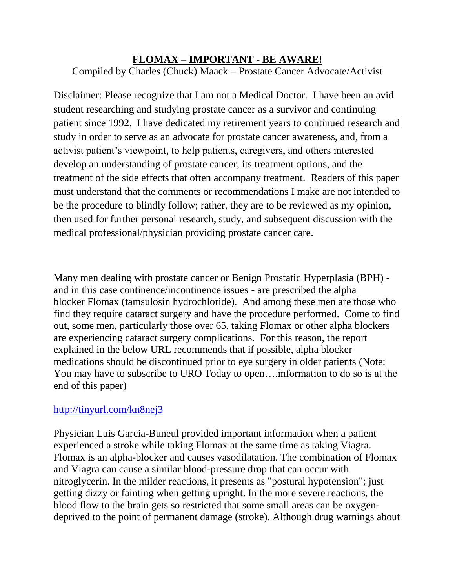## **FLOMAX – IMPORTANT - BE AWARE!**

Compiled by Charles (Chuck) Maack – Prostate Cancer Advocate/Activist

Disclaimer: Please recognize that I am not a Medical Doctor. I have been an avid student researching and studying prostate cancer as a survivor and continuing patient since 1992. I have dedicated my retirement years to continued research and study in order to serve as an advocate for prostate cancer awareness, and, from a activist patient's viewpoint, to help patients, caregivers, and others interested develop an understanding of prostate cancer, its treatment options, and the treatment of the side effects that often accompany treatment. Readers of this paper must understand that the comments or recommendations I make are not intended to be the procedure to blindly follow; rather, they are to be reviewed as my opinion, then used for further personal research, study, and subsequent discussion with the medical professional/physician providing prostate cancer care.

Many men dealing with prostate cancer or Benign Prostatic Hyperplasia (BPH) and in this case continence/incontinence issues - are prescribed the alpha blocker Flomax (tamsulosin hydrochloride). And among these men are those who find they require cataract surgery and have the procedure performed. Come to find out, some men, particularly those over 65, taking Flomax or other alpha blockers are experiencing cataract surgery complications. For this reason, the report explained in the below URL recommends that if possible, alpha blocker medications should be discontinued prior to eye surgery in older patients (Note: You may have to subscribe to URO Today to open….information to do so is at the end of this paper)

## <http://tinyurl.com/kn8nej3>

Physician Luis Garcia-Buneul provided important information when a patient experienced a stroke while taking Flomax at the same time as taking Viagra. Flomax is an alpha-blocker and causes vasodilatation. The combination of Flomax and Viagra can cause a similar blood-pressure drop that can occur with nitroglycerin. In the milder reactions, it presents as "postural hypotension"; just getting dizzy or fainting when getting upright. In the more severe reactions, the blood flow to the brain gets so restricted that some small areas can be oxygendeprived to the point of permanent damage (stroke). Although drug warnings about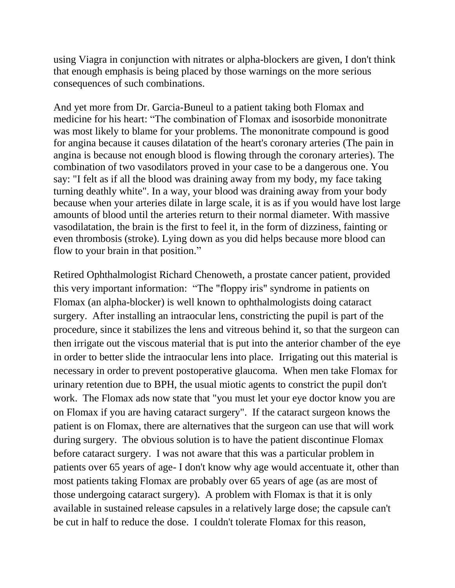using Viagra in conjunction with nitrates or alpha-blockers are given, I don't think that enough emphasis is being placed by those warnings on the more serious consequences of such combinations.

And yet more from Dr. Garcia-Buneul to a patient taking both Flomax and medicine for his heart: "The combination of Flomax and isosorbide mononitrate was most likely to blame for your problems. The mononitrate compound is good for angina because it causes dilatation of the heart's coronary arteries (The pain in angina is because not enough blood is flowing through the coronary arteries). The combination of two vasodilators proved in your case to be a dangerous one. You say: "I felt as if all the blood was draining away from my body, my face taking turning deathly white". In a way, your blood was draining away from your body because when your arteries dilate in large scale, it is as if you would have lost large amounts of blood until the arteries return to their normal diameter. With massive vasodilatation, the brain is the first to feel it, in the form of dizziness, fainting or even thrombosis (stroke). Lying down as you did helps because more blood can flow to your brain in that position."

Retired Ophthalmologist Richard Chenoweth, a prostate cancer patient, provided this very important information: "The "floppy iris" syndrome in patients on Flomax (an alpha-blocker) is well known to ophthalmologists doing cataract surgery. After installing an intraocular lens, constricting the pupil is part of the procedure, since it stabilizes the lens and vitreous behind it, so that the surgeon can then irrigate out the viscous material that is put into the anterior chamber of the eye in order to better slide the intraocular lens into place. Irrigating out this material is necessary in order to prevent postoperative glaucoma. When men take Flomax for urinary retention due to BPH, the usual miotic agents to constrict the pupil don't work. The Flomax ads now state that "you must let your eye doctor know you are on Flomax if you are having cataract surgery". If the cataract surgeon knows the patient is on Flomax, there are alternatives that the surgeon can use that will work during surgery. The obvious solution is to have the patient discontinue Flomax before cataract surgery. I was not aware that this was a particular problem in patients over 65 years of age- I don't know why age would accentuate it, other than most patients taking Flomax are probably over 65 years of age (as are most of those undergoing cataract surgery). A problem with Flomax is that it is only available in sustained release capsules in a relatively large dose; the capsule can't be cut in half to reduce the dose. I couldn't tolerate Flomax for this reason,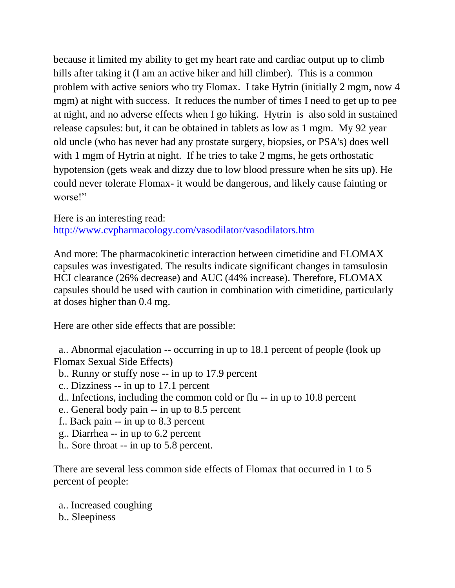because it limited my ability to get my heart rate and cardiac output up to climb hills after taking it (I am an active hiker and hill climber). This is a common problem with active seniors who try Flomax. I take Hytrin (initially 2 mgm, now 4 mgm) at night with success. It reduces the number of times I need to get up to pee at night, and no adverse effects when I go hiking. Hytrin is also sold in sustained release capsules: but, it can be obtained in tablets as low as 1 mgm. My 92 year old uncle (who has never had any prostate surgery, biopsies, or PSA's) does well with 1 mgm of Hytrin at night. If he tries to take 2 mgms, he gets orthostatic hypotension (gets weak and dizzy due to low blood pressure when he sits up). He could never tolerate Flomax- it would be dangerous, and likely cause fainting or worse!"

Here is an interesting read: <http://www.cvpharmacology.com/vasodilator/vasodilators.htm>

And more: The pharmacokinetic interaction between cimetidine and FLOMAX capsules was investigated. The results indicate significant changes in tamsulosin HCI clearance (26% decrease) and AUC (44% increase). Therefore, FLOMAX capsules should be used with caution in combination with cimetidine, particularly at doses higher than 0.4 mg.

Here are other side effects that are possible:

a.. Abnormal ejaculation -- occurring in up to 18.1 percent of people (look up Flomax Sexual Side Effects)

- b.. Runny or stuffy nose -- in up to 17.9 percent
- c.. Dizziness -- in up to 17.1 percent
- d.. Infections, including the common cold or flu -- in up to 10.8 percent
- e.. General body pain -- in up to 8.5 percent
- f.. Back pain -- in up to 8.3 percent
- g.. Diarrhea -- in up to 6.2 percent
- h.. Sore throat -- in up to 5.8 percent.

There are several less common side effects of Flomax that occurred in 1 to 5 percent of people:

- a.. Increased coughing
- b.. Sleepiness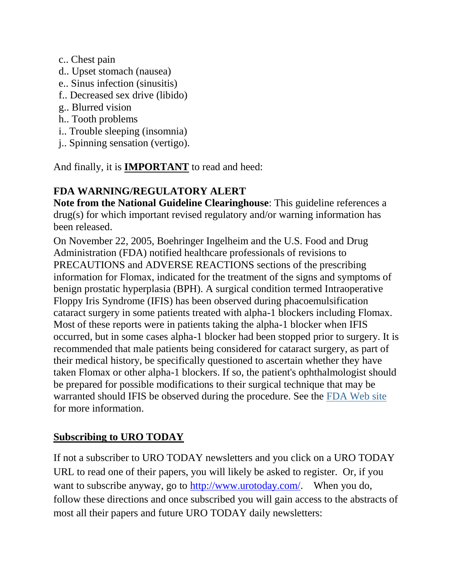- c.. Chest pain
- d.. Upset stomach (nausea)
- e.. Sinus infection (sinusitis)
- f.. Decreased sex drive (libido)
- g.. Blurred vision
- h.. Tooth problems
- i.. Trouble sleeping (insomnia)
- j.. Spinning sensation (vertigo).

And finally, it is **IMPORTANT** to read and heed:

## **FDA WARNING/REGULATORY ALERT**

**Note from the National Guideline Clearinghouse**: This guideline references a drug(s) for which important revised regulatory and/or warning information has been released.

On November 22, 2005, Boehringer Ingelheim and the U.S. Food and Drug Administration (FDA) notified healthcare professionals of revisions to PRECAUTIONS and ADVERSE REACTIONS sections of the prescribing information for Flomax, indicated for the treatment of the signs and symptoms of benign prostatic hyperplasia (BPH). A surgical condition termed Intraoperative Floppy Iris Syndrome (IFIS) has been observed during phacoemulsification cataract surgery in some patients treated with alpha-1 blockers including Flomax. Most of these reports were in patients taking the alpha-1 blocker when IFIS occurred, but in some cases alpha-1 blocker had been stopped prior to surgery. It is recommended that male patients being considered for cataract surgery, as part of their medical history, be specifically questioned to ascertain whether they have taken Flomax or other alpha-1 blockers. If so, the patient's ophthalmologist should be prepared for possible modifications to their surgical technique that may be warranted should IFIS be observed during the procedure. See the [FDA Web site](http://www.fda.gov/medwatch/safety/2005/safety05.htm#Flomax) for more information.

## **Subscribing to URO TODAY**

If not a subscriber to URO TODAY newsletters and you click on a URO TODAY URL to read one of their papers, you will likely be asked to register. Or, if you want to subscribe anyway, go to [http://www.urotoday.com/.](http://www.urotoday.com/) When you do, follow these directions and once subscribed you will gain access to the abstracts of most all their papers and future URO TODAY daily newsletters: